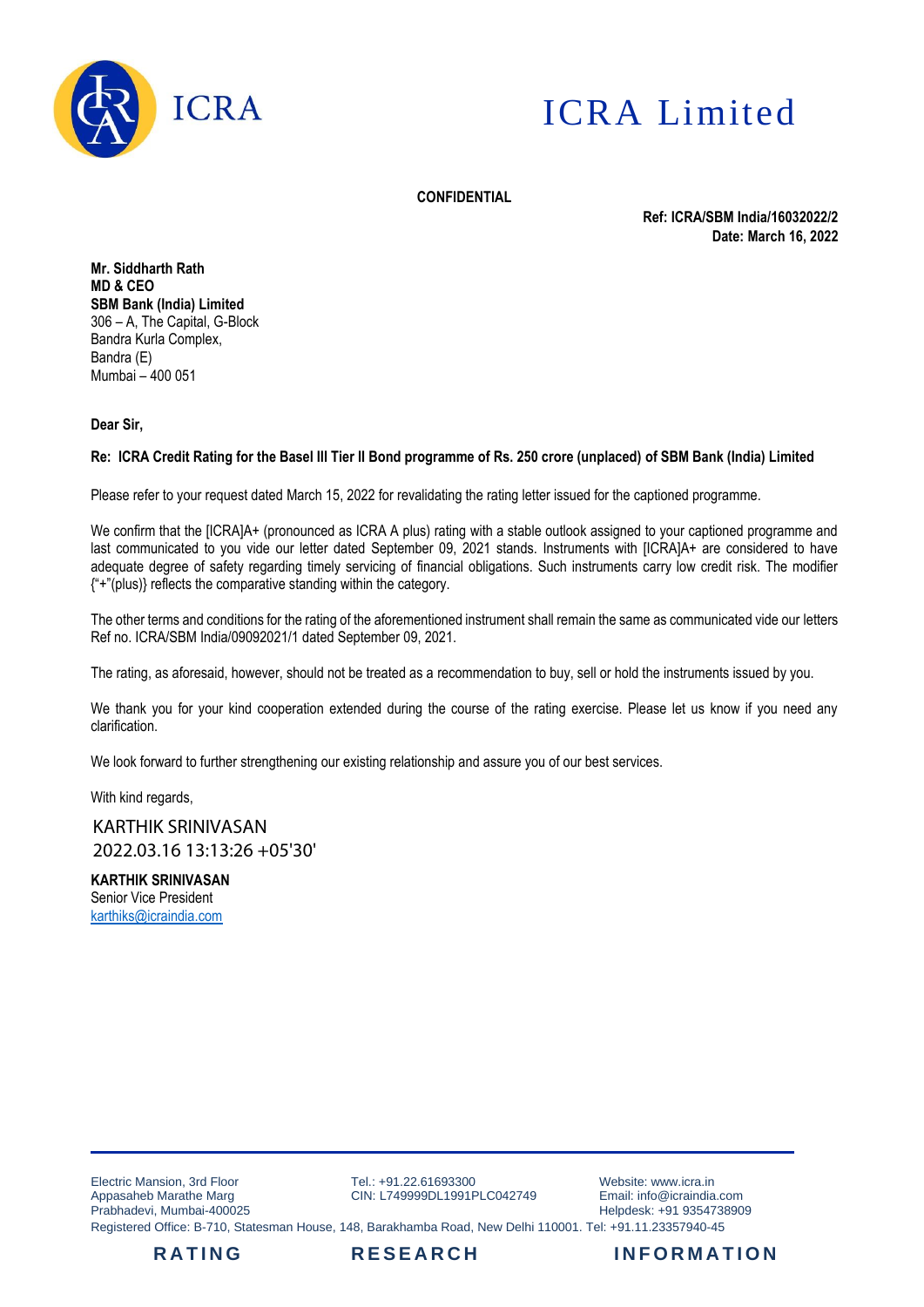



**CONFIDENTIAL**

**Ref: ICRA/SBM India/16032022/2 Date: March 16, 2022**

**Mr. Siddharth Rath MD & CEO SBM Bank (India) Limited** 306 – A, The Capital, G-Block Bandra Kurla Complex, Bandra (E) Mumbai – 400 051

**Dear Sir,**

## **Re: ICRA Credit Rating for the Basel III Tier II Bond programme of Rs. 250 crore (unplaced) of SBM Bank (India) Limited**

Please refer to your request dated March 15, 2022 for revalidating the rating letter issued for the captioned programme.

We confirm that the [ICRA]A+ (pronounced as ICRA A plus) rating with a stable outlook assigned to your captioned programme and last communicated to you vide our letter dated September 09, 2021 stands. Instruments with [ICRA]A+ are considered to have adequate degree of safety regarding timely servicing of financial obligations. Such instruments carry low credit risk. The modifier {"+"(plus)} reflects the comparative standing within the category.

The other terms and conditions for the rating of the aforementioned instrument shall remain the same as communicated vide our letters Ref no. ICRA/SBM India/09092021/1 dated September 09, 2021.

The rating, as aforesaid, however, should not be treated as a recommendation to buy, sell or hold the instruments issued by you.

We thank you for your kind cooperation extended during the course of the rating exercise. Please let us know if you need any clarification.

We look forward to further strengthening our existing relationship and assure you of our best services.

With kind regards,

KARTHIK SRINIVASAN 2022.03.16 13:13:26 +05'30'

**KARTHIK SRINIVASAN**  Senior Vice President [karthiks@icraindia.com](mailto:karthiks@icraindia.com)

Electric Mansion, 3rd Floor Appasaheb Marathe Marg Prabhadevi, Mumbai-400025

Tel.: +91.22.61693300 CIN: L749999DL1991PLC042749

Website: www.icra.in Email: info@icraindia.com Helpdesk: +91 9354738909

Registered Office: B-710, Statesman House, 148, Barakhamba Road, New Delhi 110001. Tel: +91.11.23357940-45